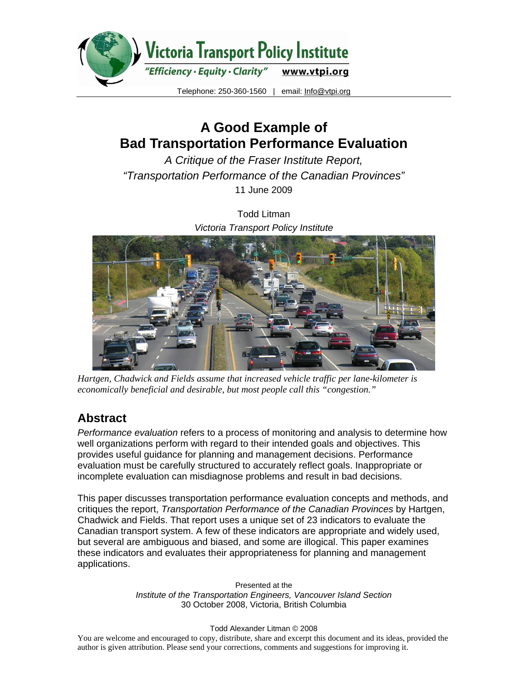

# **A Good Example of Bad Transportation Performance Evaluation**

*A Critique of the Fraser Institute Report, "Transportation Performance of the Canadian Provinces"*  11 June 2009

> Todd Litman *Victoria Transport Policy Institute*



*Hartgen, Chadwick and Fields assume that increased vehicle traffic per lane-kilometer is economically beneficial and desirable, but most people call this "congestion."* 

## **Abstract**

*Performance evaluation* refers to a process of monitoring and analysis to determine how well organizations perform with regard to their intended goals and objectives. This provides useful guidance for planning and management decisions. Performance evaluation must be carefully structured to accurately reflect goals. Inappropriate or incomplete evaluation can misdiagnose problems and result in bad decisions.

This paper discusses transportation performance evaluation concepts and methods, and critiques the report, *Transportation Performance of the Canadian Provinces* by Hartgen, Chadwick and Fields. That report uses a unique set of 23 indicators to evaluate the Canadian transport system. A few of these indicators are appropriate and widely used, but several are ambiguous and biased, and some are illogical. This paper examines these indicators and evaluates their appropriateness for planning and management applications.

> Presented at the *Institute of the Transportation Engineers, Vancouver Island Section*  30 October 2008, Victoria, British Columbia

#### Todd Alexander Litman © 2008

You are welcome and encouraged to copy, distribute, share and excerpt this document and its ideas, provided the author is given attribution. Please send your corrections, comments and suggestions for improving it.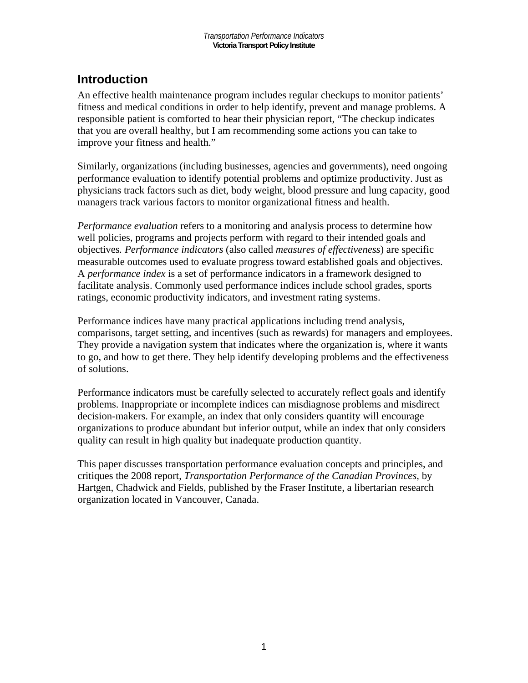## **Introduction**

An effective health maintenance program includes regular checkups to monitor patients' fitness and medical conditions in order to help identify, prevent and manage problems. A responsible patient is comforted to hear their physician report, "The checkup indicates that you are overall healthy, but I am recommending some actions you can take to improve your fitness and health."

Similarly, organizations (including businesses, agencies and governments), need ongoing performance evaluation to identify potential problems and optimize productivity. Just as physicians track factors such as diet, body weight, blood pressure and lung capacity, good managers track various factors to monitor organizational fitness and health.

*Performance evaluation* refers to a monitoring and analysis process to determine how well policies, programs and projects perform with regard to their intended goals and objectives*. Performance indicators* (also called *measures of effectiveness*) are specific measurable outcomes used to evaluate progress toward established goals and objectives. A *performance index* is a set of performance indicators in a framework designed to facilitate analysis. Commonly used performance indices include school grades, sports ratings, economic productivity indicators, and investment rating systems.

Performance indices have many practical applications including trend analysis, comparisons, target setting, and incentives (such as rewards) for managers and employees. They provide a navigation system that indicates where the organization is, where it wants to go, and how to get there. They help identify developing problems and the effectiveness of solutions.

Performance indicators must be carefully selected to accurately reflect goals and identify problems. Inappropriate or incomplete indices can misdiagnose problems and misdirect decision-makers. For example, an index that only considers quantity will encourage organizations to produce abundant but inferior output, while an index that only considers quality can result in high quality but inadequate production quantity.

This paper discusses transportation performance evaluation concepts and principles, and critiques the 2008 report, *Transportation Performance of the Canadian Provinces*, by Hartgen, Chadwick and Fields, published by the Fraser Institute, a libertarian research organization located in Vancouver, Canada.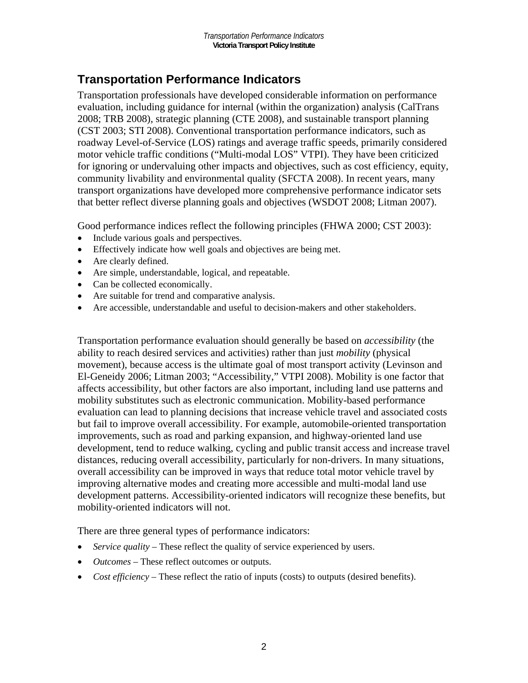## **Transportation Performance Indicators**

Transportation professionals have developed considerable information on performance evaluation, including guidance for internal (within the organization) analysis (CalTrans 2008; TRB 2008), strategic planning (CTE 2008), and sustainable transport planning (CST 2003; STI 2008). Conventional transportation performance indicators, such as roadway Level-of-Service (LOS) ratings and average traffic speeds, primarily considered motor vehicle traffic conditions ("Multi-modal LOS" VTPI). They have been criticized for ignoring or undervaluing other impacts and objectives, such as cost efficiency, equity, community livability and environmental quality (SFCTA 2008). In recent years, many transport organizations have developed more comprehensive performance indicator sets that better reflect diverse planning goals and objectives (WSDOT 2008; Litman 2007).

Good performance indices reflect the following principles (FHWA 2000; CST 2003):

- Include various goals and perspectives.
- Effectively indicate how well goals and objectives are being met.
- Are clearly defined.
- Are simple, understandable, logical, and repeatable.
- Can be collected economically.
- Are suitable for trend and comparative analysis.
- Are accessible, understandable and useful to decision-makers and other stakeholders.

Transportation performance evaluation should generally be based on *accessibility* (the ability to reach desired services and activities) rather than just *mobility* (physical movement), because access is the ultimate goal of most transport activity (Levinson and El-Geneidy 2006; Litman 2003; "Accessibility," VTPI 2008). Mobility is one factor that affects accessibility, but other factors are also important, including land use patterns and mobility substitutes such as electronic communication. Mobility-based performance evaluation can lead to planning decisions that increase vehicle travel and associated costs but fail to improve overall accessibility. For example, automobile-oriented transportation improvements, such as road and parking expansion, and highway-oriented land use development, tend to reduce walking, cycling and public transit access and increase travel distances, reducing overall accessibility, particularly for non-drivers. In many situations, overall accessibility can be improved in ways that reduce total motor vehicle travel by improving alternative modes and creating more accessible and multi-modal land use development patterns. Accessibility-oriented indicators will recognize these benefits, but mobility-oriented indicators will not.

There are three general types of performance indicators:

- *Service quality* These reflect the quality of service experienced by users.
- *Outcomes*  These reflect outcomes or outputs.
- *Cost efficiency* These reflect the ratio of inputs (costs) to outputs (desired benefits).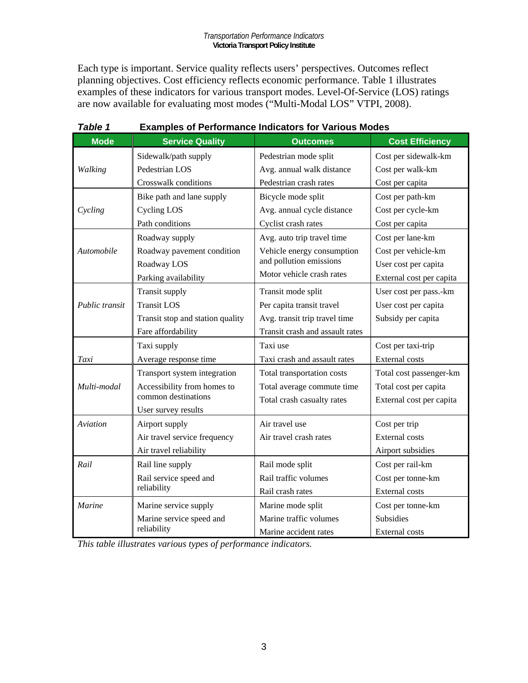Each type is important. Service quality reflects users' perspectives. Outcomes reflect planning objectives. Cost efficiency reflects economic performance. Table 1 illustrates examples of these indicators for various transport modes. Level-Of-Service (LOS) ratings are now available for evaluating most modes ("Multi-Modal LOS" VTPI, 2008).

| I ANIC I       | $\blacksquare$                   |                                 |                          |
|----------------|----------------------------------|---------------------------------|--------------------------|
| <b>Mode</b>    | <b>Service Quality</b>           | <b>Outcomes</b>                 | <b>Cost Efficiency</b>   |
|                | Sidewalk/path supply             | Pedestrian mode split           | Cost per sidewalk-km     |
| Walking        | Pedestrian LOS                   | Avg. annual walk distance       | Cost per walk-km         |
|                | Crosswalk conditions             | Pedestrian crash rates          | Cost per capita          |
|                | Bike path and lane supply        | Bicycle mode split              | Cost per path-km         |
| Cycling        | Cycling LOS                      | Avg. annual cycle distance      | Cost per cycle-km        |
|                | Path conditions                  | Cyclist crash rates             | Cost per capita          |
|                | Roadway supply                   | Avg. auto trip travel time      | Cost per lane-km         |
| Automobile     | Roadway pavement condition       | Vehicle energy consumption      | Cost per vehicle-km      |
|                | Roadway LOS                      | and pollution emissions         | User cost per capita     |
|                | Parking availability             | Motor vehicle crash rates       | External cost per capita |
|                | Transit supply                   | Transit mode split              | User cost per pass.-km   |
| Public transit | <b>Transit LOS</b>               | Per capita transit travel       | User cost per capita     |
|                | Transit stop and station quality | Avg. transit trip travel time   | Subsidy per capita       |
|                | Fare affordability               | Transit crash and assault rates |                          |
|                | Taxi supply                      | Taxi use                        | Cost per taxi-trip       |
| Taxi           | Average response time            | Taxi crash and assault rates    | <b>External costs</b>    |
|                | Transport system integration     | Total transportation costs      | Total cost passenger-km  |
| Multi-modal    | Accessibility from homes to      | Total average commute time      | Total cost per capita    |
|                | common destinations              | Total crash casualty rates      | External cost per capita |
|                | User survey results              |                                 |                          |
| Aviation       | Airport supply                   | Air travel use                  | Cost per trip            |
|                | Air travel service frequency     | Air travel crash rates          | <b>External costs</b>    |
|                | Air travel reliability           |                                 | Airport subsidies        |
| Rail           | Rail line supply                 | Rail mode split                 | Cost per rail-km         |
|                | Rail service speed and           | Rail traffic volumes            | Cost per tonne-km        |
|                | reliability                      | Rail crash rates                | <b>External costs</b>    |
| Marine         | Marine service supply            | Marine mode split               | Cost per tonne-km        |
|                | Marine service speed and         | Marine traffic volumes          | Subsidies                |
|                | reliability                      | Marine accident rates           | <b>External costs</b>    |

#### *Table 1* **Examples of Performance Indicators for Various Modes**

*This table illustrates various types of performance indicators.*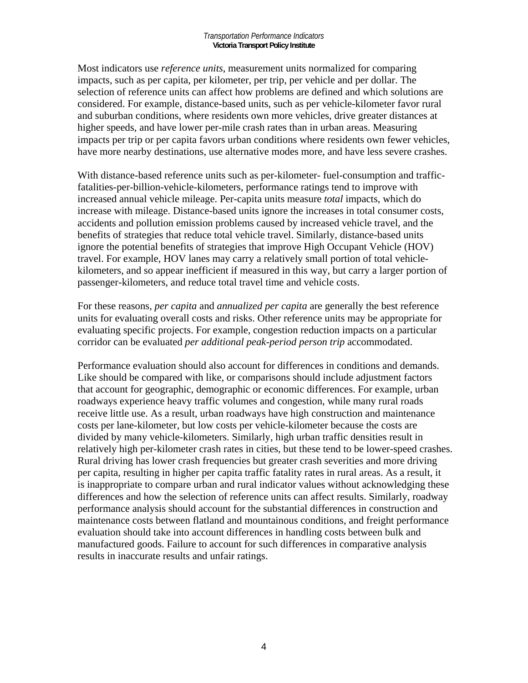Most indicators use *reference units*, measurement units normalized for comparing impacts, such as per capita, per kilometer, per trip, per vehicle and per dollar. The selection of reference units can affect how problems are defined and which solutions are considered. For example, distance-based units, such as per vehicle-kilometer favor rural and suburban conditions, where residents own more vehicles, drive greater distances at higher speeds, and have lower per-mile crash rates than in urban areas. Measuring impacts per trip or per capita favors urban conditions where residents own fewer vehicles, have more nearby destinations, use alternative modes more, and have less severe crashes.

With distance-based reference units such as per-kilometer- fuel-consumption and trafficfatalities-per-billion-vehicle-kilometers, performance ratings tend to improve with increased annual vehicle mileage. Per-capita units measure *total* impacts, which do increase with mileage. Distance-based units ignore the increases in total consumer costs, accidents and pollution emission problems caused by increased vehicle travel, and the benefits of strategies that reduce total vehicle travel. Similarly, distance-based units ignore the potential benefits of strategies that improve High Occupant Vehicle (HOV) travel. For example, HOV lanes may carry a relatively small portion of total vehiclekilometers, and so appear inefficient if measured in this way, but carry a larger portion of passenger-kilometers, and reduce total travel time and vehicle costs.

For these reasons, *per capita* and *annualized per capita* are generally the best reference units for evaluating overall costs and risks. Other reference units may be appropriate for evaluating specific projects. For example, congestion reduction impacts on a particular corridor can be evaluated *per additional peak-period person trip* accommodated.

Performance evaluation should also account for differences in conditions and demands. Like should be compared with like, or comparisons should include adjustment factors that account for geographic, demographic or economic differences. For example, urban roadways experience heavy traffic volumes and congestion, while many rural roads receive little use. As a result, urban roadways have high construction and maintenance costs per lane-kilometer, but low costs per vehicle-kilometer because the costs are divided by many vehicle-kilometers. Similarly, high urban traffic densities result in relatively high per-kilometer crash rates in cities, but these tend to be lower-speed crashes. Rural driving has lower crash frequencies but greater crash severities and more driving per capita, resulting in higher per capita traffic fatality rates in rural areas. As a result, it is inappropriate to compare urban and rural indicator values without acknowledging these differences and how the selection of reference units can affect results. Similarly, roadway performance analysis should account for the substantial differences in construction and maintenance costs between flatland and mountainous conditions, and freight performance evaluation should take into account differences in handling costs between bulk and manufactured goods. Failure to account for such differences in comparative analysis results in inaccurate results and unfair ratings.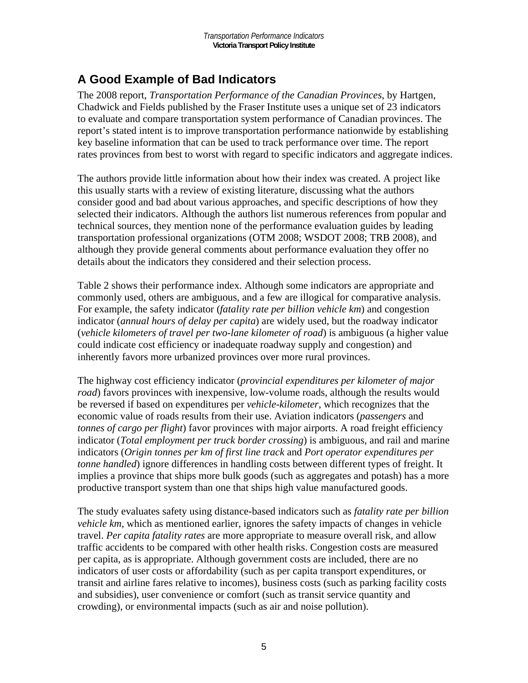## **A Good Example of Bad Indicators**

The 2008 report, *Transportation Performance of the Canadian Provinces*, by Hartgen, Chadwick and Fields published by the Fraser Institute uses a unique set of 23 indicators to evaluate and compare transportation system performance of Canadian provinces. The report's stated intent is to improve transportation performance nationwide by establishing key baseline information that can be used to track performance over time. The report rates provinces from best to worst with regard to specific indicators and aggregate indices.

The authors provide little information about how their index was created. A project like this usually starts with a review of existing literature, discussing what the authors consider good and bad about various approaches, and specific descriptions of how they selected their indicators. Although the authors list numerous references from popular and technical sources, they mention none of the performance evaluation guides by leading transportation professional organizations (OTM 2008; WSDOT 2008; TRB 2008), and although they provide general comments about performance evaluation they offer no details about the indicators they considered and their selection process.

Table 2 shows their performance index. Although some indicators are appropriate and commonly used, others are ambiguous, and a few are illogical for comparative analysis. For example, the safety indicator (*fatality rate per billion vehicle km*) and congestion indicator (*annual hours of delay per capita*) are widely used, but the roadway indicator (*vehicle kilometers of travel per two-lane kilometer of road*) is ambiguous (a higher value could indicate cost efficiency or inadequate roadway supply and congestion) and inherently favors more urbanized provinces over more rural provinces.

The highway cost efficiency indicator (*provincial expenditures per kilometer of major road*) favors provinces with inexpensive, low-volume roads, although the results would be reversed if based on expenditures per *vehicle-kilometer*, which recognizes that the economic value of roads results from their use. Aviation indicators (*passengers* and *tonnes of cargo per flight*) favor provinces with major airports. A road freight efficiency indicator (*Total employment per truck border crossing*) is ambiguous, and rail and marine indicators (*Origin tonnes per km of first line track* and *Port operator expenditures per tonne handled*) ignore differences in handling costs between different types of freight. It implies a province that ships more bulk goods (such as aggregates and potash) has a more productive transport system than one that ships high value manufactured goods.

The study evaluates safety using distance-based indicators such as *fatality rate per billion vehicle km*, which as mentioned earlier, ignores the safety impacts of changes in vehicle travel. *Per capita fatality rates* are more appropriate to measure overall risk, and allow traffic accidents to be compared with other health risks. Congestion costs are measured per capita, as is appropriate. Although government costs are included, there are no indicators of user costs or affordability (such as per capita transport expenditures, or transit and airline fares relative to incomes), business costs (such as parking facility costs and subsidies), user convenience or comfort (such as transit service quantity and crowding), or environmental impacts (such as air and noise pollution).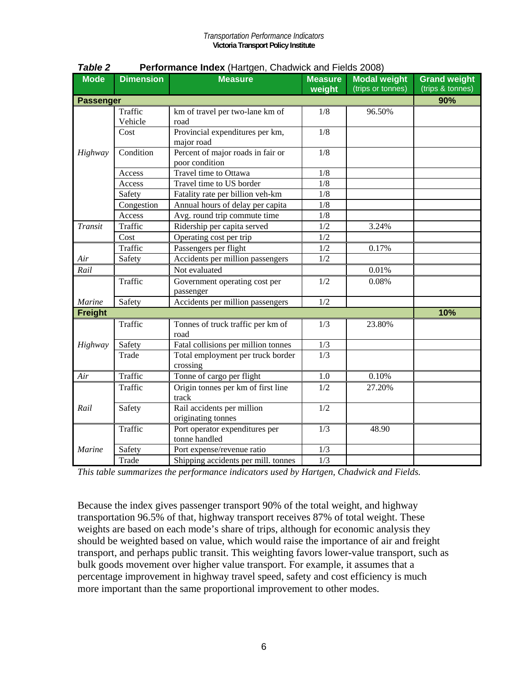| <b>Mode</b>      | <b>Dimension</b>   | <b>Measure</b>                                      | <b>Measure</b><br>weight | <b>Modal weight</b><br>(trips or tonnes) | <b>Grand weight</b><br>(trips & tonnes) |
|------------------|--------------------|-----------------------------------------------------|--------------------------|------------------------------------------|-----------------------------------------|
| <b>Passenger</b> |                    |                                                     |                          |                                          | 90%                                     |
|                  | Traffic<br>Vehicle | km of travel per two-lane km of<br>road             | 1/8                      | 96.50%                                   |                                         |
|                  | Cost               | Provincial expenditures per km,<br>major road       | 1/8                      |                                          |                                         |
| Highway          | Condition          | Percent of major roads in fair or<br>poor condition | 1/8                      |                                          |                                         |
|                  | Access             | Travel time to Ottawa                               | 1/8                      |                                          |                                         |
|                  | Access             | Travel time to US border                            | 1/8                      |                                          |                                         |
|                  | Safety             | Fatality rate per billion veh-km                    | 1/8                      |                                          |                                         |
|                  | Congestion         | Annual hours of delay per capita                    | 1/8                      |                                          |                                         |
|                  | Access             | Avg. round trip commute time                        | 1/8                      |                                          |                                         |
| <b>Transit</b>   | Traffic            | Ridership per capita served                         | 1/2                      | 3.24%                                    |                                         |
|                  | Cost               | Operating cost per trip                             | 1/2                      |                                          |                                         |
|                  | Traffic            | Passengers per flight                               | 1/2                      | 0.17%                                    |                                         |
| Air              | Safety             | Accidents per million passengers                    | 1/2                      |                                          |                                         |
| Rail             |                    | Not evaluated                                       |                          | 0.01%                                    |                                         |
|                  | Traffic            | Government operating cost per<br>passenger          | 1/2                      | 0.08%                                    |                                         |
| Marine           | Safety             | Accidents per million passengers                    | 1/2                      |                                          |                                         |
| <b>Freight</b>   |                    |                                                     |                          |                                          | 10%                                     |
|                  | Traffic            | Tonnes of truck traffic per km of<br>road           | 1/3                      | 23.80%                                   |                                         |
| Highway          | Safety             | Fatal collisions per million tonnes                 | 1/3                      |                                          |                                         |
|                  | Trade              | Total employment per truck border<br>crossing       | 1/3                      |                                          |                                         |
| Air              | Traffic            | Tonne of cargo per flight                           | 1.0                      | 0.10%                                    |                                         |
|                  | Traffic            | Origin tonnes per km of first line<br>track         | 1/2                      | 27.20%                                   |                                         |
| Rail             | Safety             | Rail accidents per million<br>originating tonnes    | 1/2                      |                                          |                                         |
|                  | Traffic            | Port operator expenditures per<br>tonne handled     | 1/3                      | 48.90                                    |                                         |
| Marine           | Safety             | Port expense/revenue ratio                          | 1/3                      |                                          |                                         |
|                  | Trade              | Shipping accidents per mill. tonnes                 | $\overline{1/3}$         |                                          |                                         |

|  | Table 2 |  | <b>Performance Index</b> (Hartgen, Chadwick and Fields 2008) |  |
|--|---------|--|--------------------------------------------------------------|--|
|--|---------|--|--------------------------------------------------------------|--|

*This table summarizes the performance indicators used by Hartgen, Chadwick and Fields.* 

Because the index gives passenger transport 90% of the total weight, and highway transportation 96.5% of that, highway transport receives 87% of total weight. These weights are based on each mode's share of trips, although for economic analysis they should be weighted based on value, which would raise the importance of air and freight transport, and perhaps public transit. This weighting favors lower-value transport, such as bulk goods movement over higher value transport. For example, it assumes that a percentage improvement in highway travel speed, safety and cost efficiency is much more important than the same proportional improvement to other modes.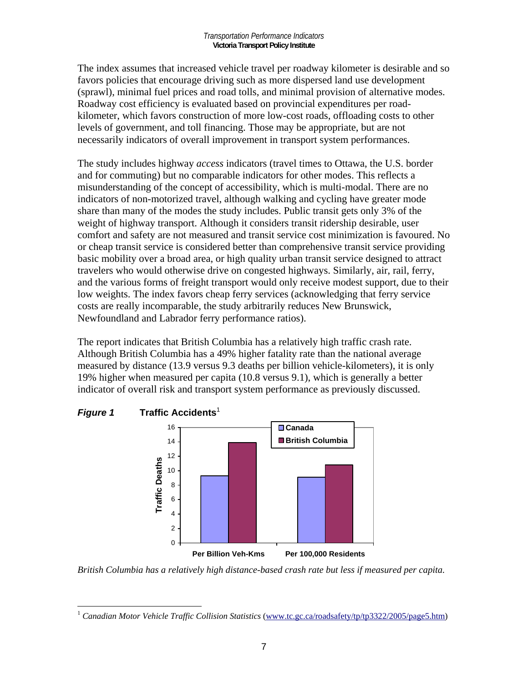The index assumes that increased vehicle travel per roadway kilometer is desirable and so favors policies that encourage driving such as more dispersed land use development (sprawl), minimal fuel prices and road tolls, and minimal provision of alternative modes. Roadway cost efficiency is evaluated based on provincial expenditures per roadkilometer, which favors construction of more low-cost roads, offloading costs to other levels of government, and toll financing. Those may be appropriate, but are not necessarily indicators of overall improvement in transport system performances.

The study includes highway *access* indicators (travel times to Ottawa, the U.S. border and for commuting) but no comparable indicators for other modes. This reflects a misunderstanding of the concept of accessibility, which is multi-modal. There are no indicators of non-motorized travel, although walking and cycling have greater mode share than many of the modes the study includes. Public transit gets only 3% of the weight of highway transport. Although it considers transit ridership desirable, user comfort and safety are not measured and transit service cost minimization is favoured. No or cheap transit service is considered better than comprehensive transit service providing basic mobility over a broad area, or high quality urban transit service designed to attract travelers who would otherwise drive on congested highways. Similarly, air, rail, ferry, and the various forms of freight transport would only receive modest support, due to their low weights. The index favors cheap ferry services (acknowledging that ferry service costs are really incomparable, the study arbitrarily reduces New Brunswick, Newfoundland and Labrador ferry performance ratios).

The report indicates that British Columbia has a relatively high traffic crash rate. Although British Columbia has a 49% higher fatality rate than the national average measured by distance (13.9 versus 9.3 deaths per billion vehicle-kilometers), it is only 19% higher when measured per capita (10.8 versus 9.1), which is generally a better indicator of overall risk and transport system performance as previously discussed.



*British Columbia has a relatively high distance-based crash rate but less if measured per capita.* 

 $\overline{a}$ <sup>1</sup> Canadian Motor Vehicle Traffic Collision Statistics (www.tc.gc.ca/roadsafety/tp/tp3322/2005/page5.htm)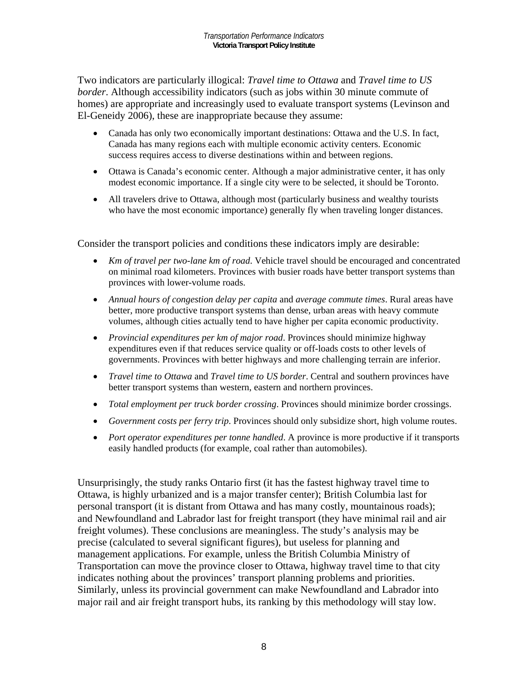Two indicators are particularly illogical: *Travel time to Ottawa* and *Travel time to US border*. Although accessibility indicators (such as jobs within 30 minute commute of homes) are appropriate and increasingly used to evaluate transport systems (Levinson and El-Geneidy 2006), these are inappropriate because they assume:

- Canada has only two economically important destinations: Ottawa and the U.S. In fact, Canada has many regions each with multiple economic activity centers. Economic success requires access to diverse destinations within and between regions.
- Ottawa is Canada's economic center. Although a major administrative center, it has only modest economic importance. If a single city were to be selected, it should be Toronto.
- All travelers drive to Ottawa, although most (particularly business and wealthy tourists who have the most economic importance) generally fly when traveling longer distances.

Consider the transport policies and conditions these indicators imply are desirable:

- *Km of travel per two-lane km of road*. Vehicle travel should be encouraged and concentrated on minimal road kilometers. Provinces with busier roads have better transport systems than provinces with lower-volume roads.
- *Annual hours of congestion delay per capita* and *average commute times*. Rural areas have better, more productive transport systems than dense, urban areas with heavy commute volumes, although cities actually tend to have higher per capita economic productivity.
- *Provincial expenditures per km of major road*. Provinces should minimize highway expenditures even if that reduces service quality or off-loads costs to other levels of governments. Provinces with better highways and more challenging terrain are inferior.
- *Travel time to Ottawa* and *Travel time to US border*. Central and southern provinces have better transport systems than western, eastern and northern provinces.
- *Total employment per truck border crossing*. Provinces should minimize border crossings.
- *Government costs per ferry trip*. Provinces should only subsidize short, high volume routes.
- *Port operator expenditures per tonne handled*. A province is more productive if it transports easily handled products (for example, coal rather than automobiles).

Unsurprisingly, the study ranks Ontario first (it has the fastest highway travel time to Ottawa, is highly urbanized and is a major transfer center); British Columbia last for personal transport (it is distant from Ottawa and has many costly, mountainous roads); and Newfoundland and Labrador last for freight transport (they have minimal rail and air freight volumes). These conclusions are meaningless. The study's analysis may be precise (calculated to several significant figures), but useless for planning and management applications. For example, unless the British Columbia Ministry of Transportation can move the province closer to Ottawa, highway travel time to that city indicates nothing about the provinces' transport planning problems and priorities. Similarly, unless its provincial government can make Newfoundland and Labrador into major rail and air freight transport hubs, its ranking by this methodology will stay low.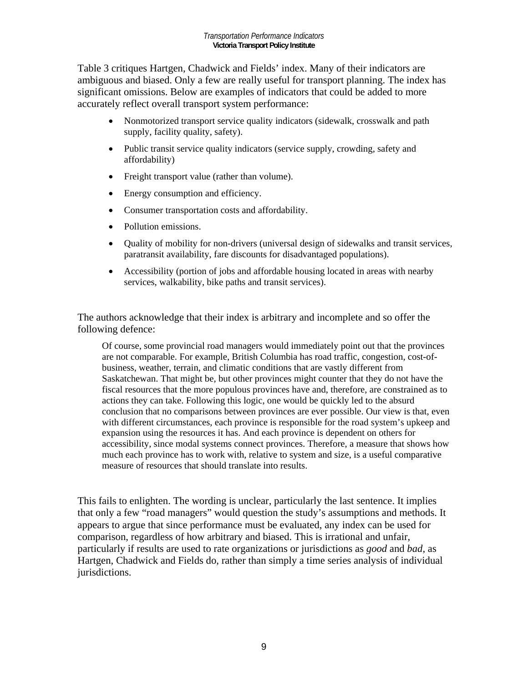Table 3 critiques Hartgen, Chadwick and Fields' index. Many of their indicators are ambiguous and biased. Only a few are really useful for transport planning. The index has significant omissions. Below are examples of indicators that could be added to more accurately reflect overall transport system performance:

- Nonmotorized transport service quality indicators (sidewalk, crosswalk and path supply, facility quality, safety).
- Public transit service quality indicators (service supply, crowding, safety and affordability)
- Freight transport value (rather than volume).
- Energy consumption and efficiency.
- Consumer transportation costs and affordability.
- Pollution emissions.
- Ouality of mobility for non-drivers (universal design of sidewalks and transit services, paratransit availability, fare discounts for disadvantaged populations).
- Accessibility (portion of jobs and affordable housing located in areas with nearby services, walkability, bike paths and transit services).

The authors acknowledge that their index is arbitrary and incomplete and so offer the following defence:

Of course, some provincial road managers would immediately point out that the provinces are not comparable. For example, British Columbia has road traffic, congestion, cost-ofbusiness, weather, terrain, and climatic conditions that are vastly different from Saskatchewan. That might be, but other provinces might counter that they do not have the fiscal resources that the more populous provinces have and, therefore, are constrained as to actions they can take. Following this logic, one would be quickly led to the absurd conclusion that no comparisons between provinces are ever possible. Our view is that, even with different circumstances, each province is responsible for the road system's upkeep and expansion using the resources it has. And each province is dependent on others for accessibility, since modal systems connect provinces. Therefore, a measure that shows how much each province has to work with, relative to system and size, is a useful comparative measure of resources that should translate into results.

This fails to enlighten. The wording is unclear, particularly the last sentence. It implies that only a few "road managers" would question the study's assumptions and methods. It appears to argue that since performance must be evaluated, any index can be used for comparison, regardless of how arbitrary and biased. This is irrational and unfair, particularly if results are used to rate organizations or jurisdictions as *good* and *bad*, as Hartgen, Chadwick and Fields do, rather than simply a time series analysis of individual jurisdictions.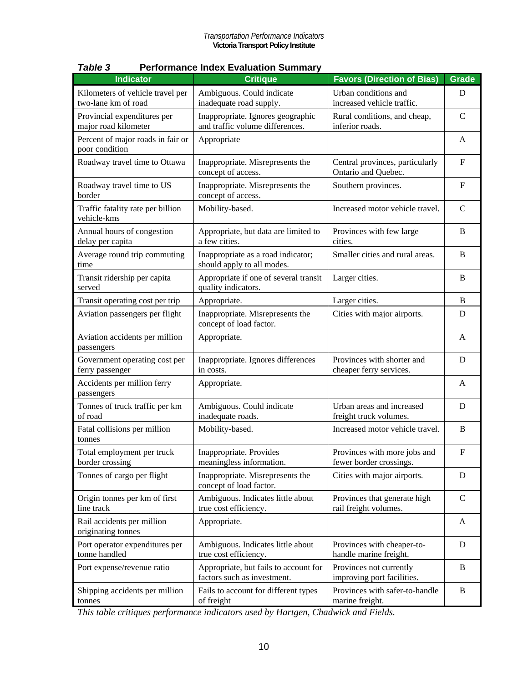| <b>Indicator</b>                                        | <b>Critique</b>                                                      | <b>Favors (Direction of Bias)</b>                       | <b>Grade</b>   |
|---------------------------------------------------------|----------------------------------------------------------------------|---------------------------------------------------------|----------------|
| Kilometers of vehicle travel per<br>two-lane km of road | Ambiguous. Could indicate<br>inadequate road supply.                 | Urban conditions and<br>increased vehicle traffic.      | D              |
| Provincial expenditures per<br>major road kilometer     | Inappropriate. Ignores geographic<br>and traffic volume differences. | Rural conditions, and cheap,<br>inferior roads.         | $\mathbf C$    |
| Percent of major roads in fair or<br>poor condition     | Appropriate                                                          |                                                         | A              |
| Roadway travel time to Ottawa                           | Inappropriate. Misrepresents the<br>concept of access.               | Central provinces, particularly<br>Ontario and Quebec.  | $\mathbf{F}$   |
| Roadway travel time to US<br>border                     | Inappropriate. Misrepresents the<br>concept of access.               | Southern provinces.                                     | F              |
| Traffic fatality rate per billion<br>vehicle-kms        | Mobility-based.                                                      | Increased motor vehicle travel.                         | $\mathbf C$    |
| Annual hours of congestion<br>delay per capita          | Appropriate, but data are limited to<br>a few cities.                | Provinces with few large<br>cities.                     | B              |
| Average round trip commuting<br>time                    | Inappropriate as a road indicator;<br>should apply to all modes.     | Smaller cities and rural areas.                         | $\mathbf B$    |
| Transit ridership per capita<br>served                  | Appropriate if one of several transit<br>quality indicators.         | Larger cities.                                          | B              |
| Transit operating cost per trip                         | Appropriate.                                                         | Larger cities.                                          | B              |
| Aviation passengers per flight                          | Inappropriate. Misrepresents the<br>concept of load factor.          | Cities with major airports.                             | D              |
| Aviation accidents per million<br>passengers            | Appropriate.                                                         |                                                         | A              |
| Government operating cost per<br>ferry passenger        | Inappropriate. Ignores differences<br>in costs.                      | Provinces with shorter and<br>cheaper ferry services.   | $\mathbf D$    |
| Accidents per million ferry<br>passengers               | Appropriate.                                                         |                                                         | A              |
| Tonnes of truck traffic per km<br>of road               | Ambiguous. Could indicate<br>inadequate roads.                       | Urban areas and increased<br>freight truck volumes.     | D              |
| Fatal collisions per million<br>tonnes                  | Mobility-based.                                                      | Increased motor vehicle travel.                         | $\overline{B}$ |
| Total employment per truck<br>border crossing           | Inappropriate. Provides<br>meaningless information.                  | Provinces with more jobs and<br>fewer border crossings. | ${\bf F}$      |
| Tonnes of cargo per flight                              | Inappropriate. Misrepresents the<br>concept of load factor.          | Cities with major airports.                             | D              |
| Origin tonnes per km of first<br>line track             | Ambiguous. Indicates little about<br>true cost efficiency.           | Provinces that generate high<br>rail freight volumes.   | $\mathcal{C}$  |
| Rail accidents per million<br>originating tonnes        | Appropriate.                                                         |                                                         | A              |
| Port operator expenditures per<br>tonne handled         | Ambiguous. Indicates little about<br>true cost efficiency.           | Provinces with cheaper-to-<br>handle marine freight.    | D              |
| Port expense/revenue ratio                              | Appropriate, but fails to account for<br>factors such as investment. | Provinces not currently<br>improving port facilities.   | B              |
| Shipping accidents per million<br>tonnes                | Fails to account for different types<br>of freight                   | Provinces with safer-to-handle<br>marine freight.       | B              |

#### *Table 3* **Performance Index Evaluation Summary**

*This table critiques performance indicators used by Hartgen, Chadwick and Fields.*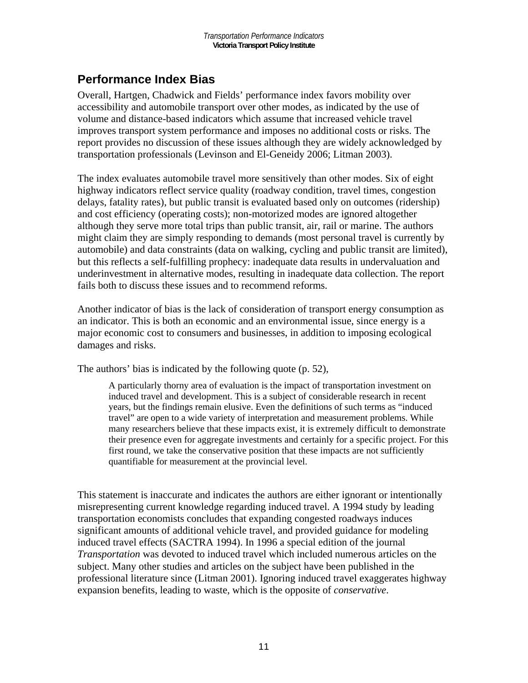## **Performance Index Bias**

Overall, Hartgen, Chadwick and Fields' performance index favors mobility over accessibility and automobile transport over other modes, as indicated by the use of volume and distance-based indicators which assume that increased vehicle travel improves transport system performance and imposes no additional costs or risks. The report provides no discussion of these issues although they are widely acknowledged by transportation professionals (Levinson and El-Geneidy 2006; Litman 2003).

The index evaluates automobile travel more sensitively than other modes. Six of eight highway indicators reflect service quality (roadway condition, travel times, congestion delays, fatality rates), but public transit is evaluated based only on outcomes (ridership) and cost efficiency (operating costs); non-motorized modes are ignored altogether although they serve more total trips than public transit, air, rail or marine. The authors might claim they are simply responding to demands (most personal travel is currently by automobile) and data constraints (data on walking, cycling and public transit are limited), but this reflects a self-fulfilling prophecy: inadequate data results in undervaluation and underinvestment in alternative modes, resulting in inadequate data collection. The report fails both to discuss these issues and to recommend reforms.

Another indicator of bias is the lack of consideration of transport energy consumption as an indicator. This is both an economic and an environmental issue, since energy is a major economic cost to consumers and businesses, in addition to imposing ecological damages and risks.

The authors' bias is indicated by the following quote (p. 52),

A particularly thorny area of evaluation is the impact of transportation investment on induced travel and development. This is a subject of considerable research in recent years, but the findings remain elusive. Even the definitions of such terms as "induced travel" are open to a wide variety of interpretation and measurement problems. While many researchers believe that these impacts exist, it is extremely difficult to demonstrate their presence even for aggregate investments and certainly for a specific project. For this first round, we take the conservative position that these impacts are not sufficiently quantifiable for measurement at the provincial level.

This statement is inaccurate and indicates the authors are either ignorant or intentionally misrepresenting current knowledge regarding induced travel. A 1994 study by leading transportation economists concludes that expanding congested roadways induces significant amounts of additional vehicle travel, and provided guidance for modeling induced travel effects (SACTRA 1994). In 1996 a special edition of the journal *Transportation* was devoted to induced travel which included numerous articles on the subject. Many other studies and articles on the subject have been published in the professional literature since (Litman 2001). Ignoring induced travel exaggerates highway expansion benefits, leading to waste, which is the opposite of *conservative*.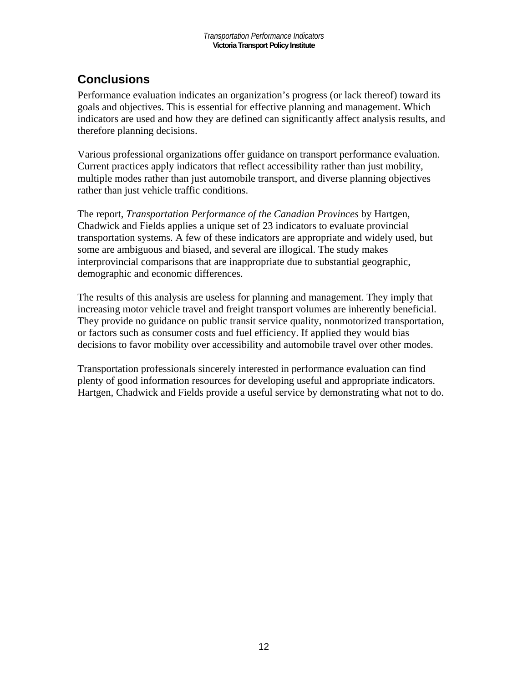## **Conclusions**

Performance evaluation indicates an organization's progress (or lack thereof) toward its goals and objectives. This is essential for effective planning and management. Which indicators are used and how they are defined can significantly affect analysis results, and therefore planning decisions.

Various professional organizations offer guidance on transport performance evaluation. Current practices apply indicators that reflect accessibility rather than just mobility, multiple modes rather than just automobile transport, and diverse planning objectives rather than just vehicle traffic conditions.

The report, *Transportation Performance of the Canadian Provinces* by Hartgen, Chadwick and Fields applies a unique set of 23 indicators to evaluate provincial transportation systems. A few of these indicators are appropriate and widely used, but some are ambiguous and biased, and several are illogical. The study makes interprovincial comparisons that are inappropriate due to substantial geographic, demographic and economic differences.

The results of this analysis are useless for planning and management. They imply that increasing motor vehicle travel and freight transport volumes are inherently beneficial. They provide no guidance on public transit service quality, nonmotorized transportation, or factors such as consumer costs and fuel efficiency. If applied they would bias decisions to favor mobility over accessibility and automobile travel over other modes.

Transportation professionals sincerely interested in performance evaluation can find plenty of good information resources for developing useful and appropriate indicators. Hartgen, Chadwick and Fields provide a useful service by demonstrating what not to do.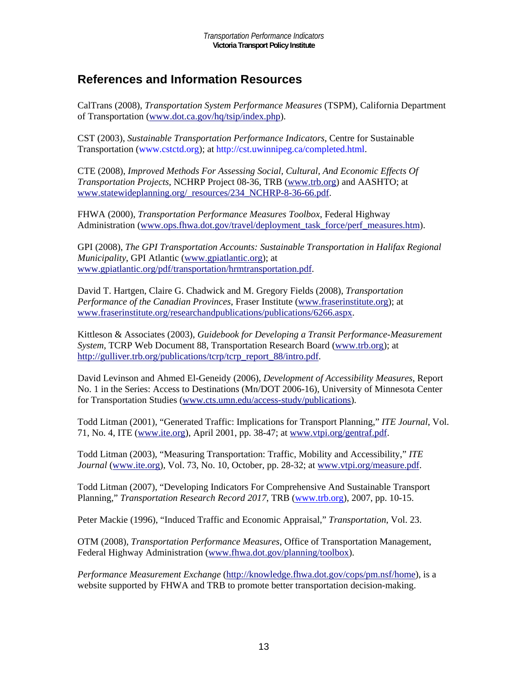## **References and Information Resources**

CalTrans (2008), *Transportation System Performance Measures* (TSPM), California Department of Transportation (www.dot.ca.gov/hq/tsip/index.php).

CST (2003), *Sustainable Transportation Performance Indicators*, Centre for Sustainable Transportation (www.cstctd.org); at http://cst.uwinnipeg.ca/completed.html.

CTE (2008), *Improved Methods For Assessing Social, Cultural, And Economic Effects Of Transportation Projects*, NCHRP Project 08-36, TRB (www.trb.org) and AASHTO; at www.statewideplanning.org/\_resources/234\_NCHRP-8-36-66.pdf.

FHWA (2000), *Transportation Performance Measures Toolbox*, Federal Highway Administration (www.ops.fhwa.dot.gov/travel/deployment\_task\_force/perf\_measures.htm).

GPI (2008), *The GPI Transportation Accounts: Sustainable Transportation in Halifax Regional Municipality*, GPI Atlantic (www.gpiatlantic.org); at www.gpiatlantic.org/pdf/transportation/hrmtransportation.pdf.

David T. Hartgen, Claire G. Chadwick and M. Gregory Fields (2008), *Transportation Performance of the Canadian Provinces*, Fraser Institute (www.fraserinstitute.org); at www.fraserinstitute.org/researchandpublications/publications/6266.aspx.

Kittleson & Associates (2003), *Guidebook for Developing a Transit Performance-Measurement System*, TCRP Web Document 88, Transportation Research Board (www.trb.org); at http://gulliver.trb.org/publications/tcrp/tcrp\_report\_88/intro.pdf.

David Levinson and Ahmed El-Geneidy (2006), *Development of Accessibility Measures*, Report No. 1 in the Series: Access to Destinations (Mn/DOT 2006-16), University of Minnesota Center for Transportation Studies (www.cts.umn.edu/access-study/publications).

Todd Litman (2001), "Generated Traffic: Implications for Transport Planning," *ITE Journal*, Vol. 71, No. 4, ITE (www.ite.org), April 2001, pp. 38-47; at www.vtpi.org/gentraf.pdf.

Todd Litman (2003), "Measuring Transportation: Traffic, Mobility and Accessibility," *ITE Journal* (www.ite.org), Vol. 73, No. 10, October, pp. 28-32; at www.vtpi.org/measure.pdf.

Todd Litman (2007), "Developing Indicators For Comprehensive And Sustainable Transport Planning," *Transportation Research Record 2017*, TRB (www.trb.org), 2007, pp. 10-15.

Peter Mackie (1996), "Induced Traffic and Economic Appraisal," *Transportation*, Vol. 23.

OTM (2008), *Transportation Performance Measures*, Office of Transportation Management, Federal Highway Administration (www.fhwa.dot.gov/planning/toolbox).

*Performance Measurement Exchange* (http://knowledge.fhwa.dot.gov/cops/pm.nsf/home), is a website supported by FHWA and TRB to promote better transportation decision-making.